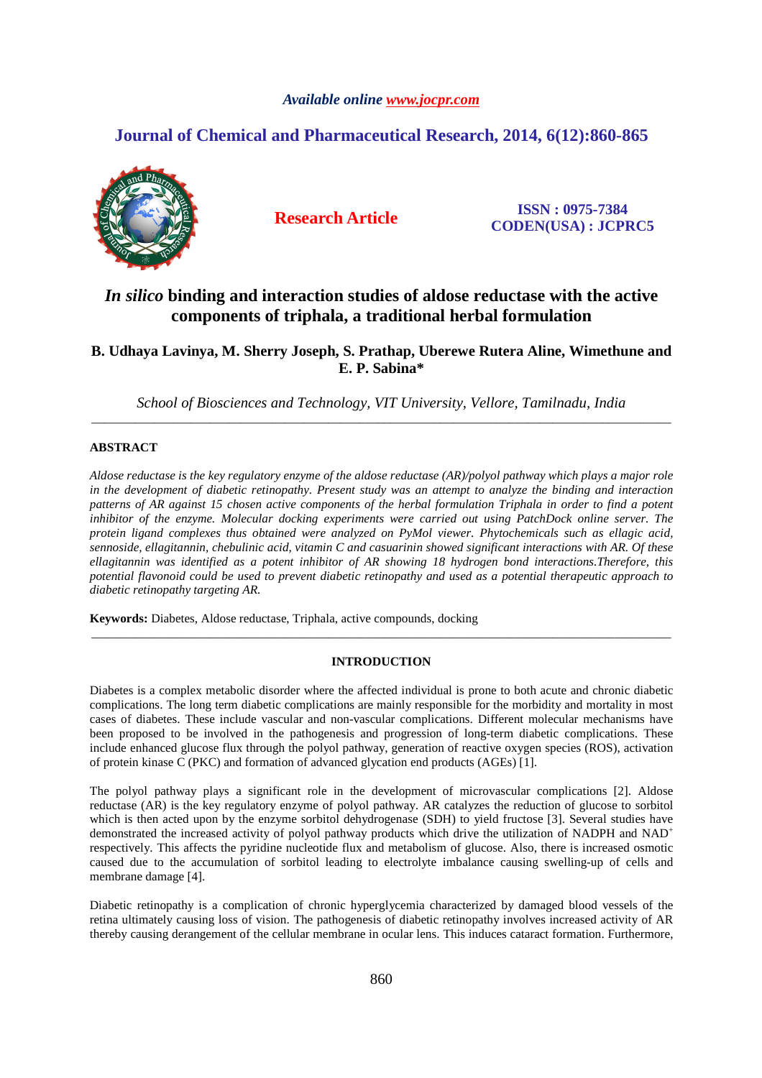# *Available online www.jocpr.com*

# **Journal of Chemical and Pharmaceutical Research, 2014, 6(12):860-865**



**Research Article ISSN : 0975-7384 CODEN(USA) : JCPRC5**

# *In silico* **binding and interaction studies of aldose reductase with the active components of triphala, a traditional herbal formulation**

**B. Udhaya Lavinya, M. Sherry Joseph, S. Prathap, Uberewe Rutera Aline, Wimethune and E. P. Sabina\*** 

*School of Biosciences and Technology, VIT University, Vellore, Tamilnadu, India* \_\_\_\_\_\_\_\_\_\_\_\_\_\_\_\_\_\_\_\_\_\_\_\_\_\_\_\_\_\_\_\_\_\_\_\_\_\_\_\_\_\_\_\_\_\_\_\_\_\_\_\_\_\_\_\_\_\_\_\_\_\_\_\_\_\_\_\_\_\_\_\_\_\_\_\_\_\_\_\_\_\_\_\_\_\_\_\_\_\_\_\_\_

# **ABSTRACT**

*Aldose reductase is the key regulatory enzyme of the aldose reductase (AR)/polyol pathway which plays a major role in the development of diabetic retinopathy. Present study was an attempt to analyze the binding and interaction patterns of AR against 15 chosen active components of the herbal formulation Triphala in order to find a potent inhibitor of the enzyme. Molecular docking experiments were carried out using PatchDock online server. The protein ligand complexes thus obtained were analyzed on PyMol viewer. Phytochemicals such as ellagic acid, sennoside, ellagitannin, chebulinic acid, vitamin C and casuarinin showed significant interactions with AR. Of these ellagitannin was identified as a potent inhibitor of AR showing 18 hydrogen bond interactions.Therefore, this potential flavonoid could be used to prevent diabetic retinopathy and used as a potential therapeutic approach to diabetic retinopathy targeting AR.* 

**Keywords:** Diabetes, Aldose reductase, Triphala, active compounds, docking

# **INTRODUCTION**

\_\_\_\_\_\_\_\_\_\_\_\_\_\_\_\_\_\_\_\_\_\_\_\_\_\_\_\_\_\_\_\_\_\_\_\_\_\_\_\_\_\_\_\_\_\_\_\_\_\_\_\_\_\_\_\_\_\_\_\_\_\_\_\_\_\_\_\_\_\_\_\_\_\_\_\_\_\_\_\_\_\_\_\_\_\_\_\_\_\_\_\_\_

Diabetes is a complex metabolic disorder where the affected individual is prone to both acute and chronic diabetic complications. The long term diabetic complications are mainly responsible for the morbidity and mortality in most cases of diabetes. These include vascular and non-vascular complications. Different molecular mechanisms have been proposed to be involved in the pathogenesis and progression of long-term diabetic complications. These include enhanced glucose flux through the polyol pathway, generation of reactive oxygen species (ROS), activation of protein kinase C (PKC) and formation of advanced glycation end products (AGEs) [1].

The polyol pathway plays a significant role in the development of microvascular complications [2]. Aldose reductase (AR) is the key regulatory enzyme of polyol pathway. AR catalyzes the reduction of glucose to sorbitol which is then acted upon by the enzyme sorbitol dehydrogenase (SDH) to yield fructose [3]. Several studies have demonstrated the increased activity of polyol pathway products which drive the utilization of NADPH and NAD<sup>+</sup> respectively. This affects the pyridine nucleotide flux and metabolism of glucose. Also, there is increased osmotic caused due to the accumulation of sorbitol leading to electrolyte imbalance causing swelling-up of cells and membrane damage [4].

Diabetic retinopathy is a complication of chronic hyperglycemia characterized by damaged blood vessels of the retina ultimately causing loss of vision. The pathogenesis of diabetic retinopathy involves increased activity of AR thereby causing derangement of the cellular membrane in ocular lens. This induces cataract formation. Furthermore,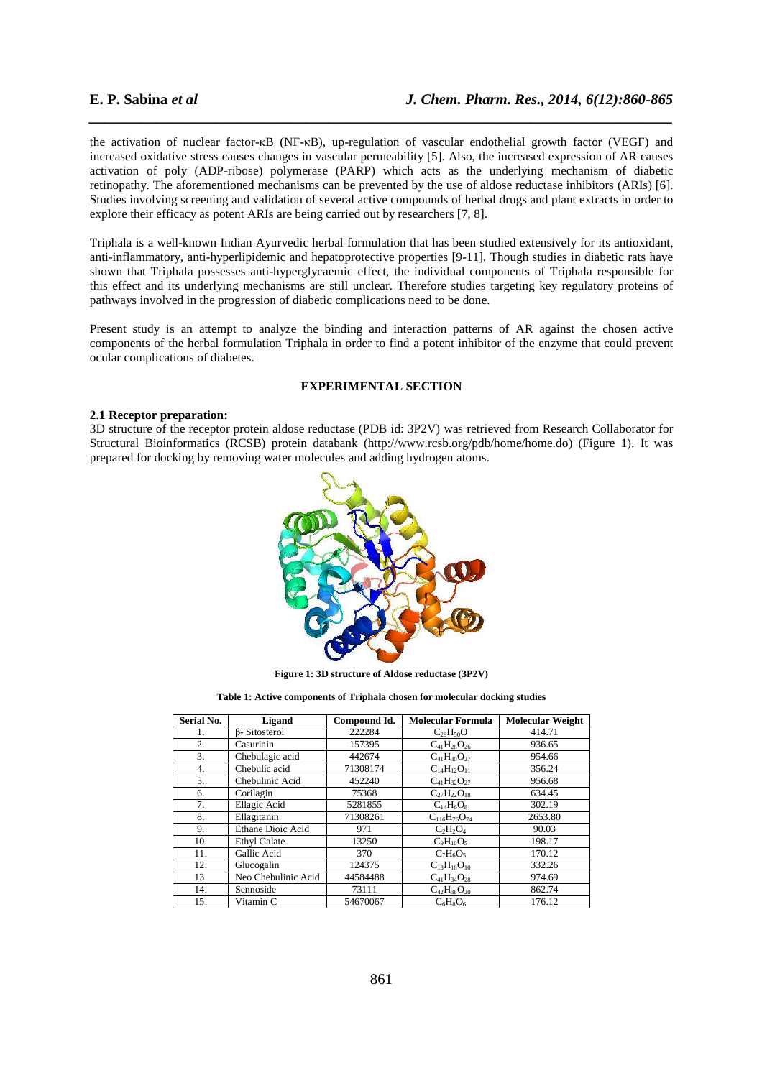the activation of nuclear factor-κB (NF-κB), up-regulation of vascular endothelial growth factor (VEGF) and increased oxidative stress causes changes in vascular permeability [5]. Also, the increased expression of AR causes activation of poly (ADP-ribose) polymerase (PARP) which acts as the underlying mechanism of diabetic retinopathy. The aforementioned mechanisms can be prevented by the use of aldose reductase inhibitors (ARIs) [6]. Studies involving screening and validation of several active compounds of herbal drugs and plant extracts in order to explore their efficacy as potent ARIs are being carried out by researchers [7, 8].

*\_\_\_\_\_\_\_\_\_\_\_\_\_\_\_\_\_\_\_\_\_\_\_\_\_\_\_\_\_\_\_\_\_\_\_\_\_\_\_\_\_\_\_\_\_\_\_\_\_\_\_\_\_\_\_\_\_\_\_\_\_\_\_\_\_\_\_\_\_\_\_\_\_\_\_\_\_\_*

Triphala is a well-known Indian Ayurvedic herbal formulation that has been studied extensively for its antioxidant, anti-inflammatory, anti-hyperlipidemic and hepatoprotective properties [9-11]. Though studies in diabetic rats have shown that Triphala possesses anti-hyperglycaemic effect, the individual components of Triphala responsible for this effect and its underlying mechanisms are still unclear. Therefore studies targeting key regulatory proteins of pathways involved in the progression of diabetic complications need to be done.

Present study is an attempt to analyze the binding and interaction patterns of AR against the chosen active components of the herbal formulation Triphala in order to find a potent inhibitor of the enzyme that could prevent ocular complications of diabetes.

# **EXPERIMENTAL SECTION**

### **2.1 Receptor preparation:**

3D structure of the receptor protein aldose reductase (PDB id: 3P2V) was retrieved from Research Collaborator for Structural Bioinformatics (RCSB) protein databank (http://www.rcsb.org/pdb/home/home.do) (Figure 1). It was prepared for docking by removing water molecules and adding hydrogen atoms.



**Figure 1: 3D structure of Aldose reductase (3P2V)** 

**Table 1: Active components of Triphala chosen for molecular docking studies** 

| Serial No. | Ligand               | Compound Id. | <b>Molecular Formula</b> | <b>Molecular Weight</b> |
|------------|----------------------|--------------|--------------------------|-------------------------|
| 1.         | <b>B</b> -Sitosterol | 222284       | $C_{29}H_{50}O$          | 414.71                  |
| 2.         | Casurinin            | 157395       | $C_{41}H_{28}O_{26}$     | 936.65                  |
| 3.         | Chebulagic acid      | 442674       | $C_{41}H_{30}O_{27}$     | 954.66                  |
| 4.         | Chebulic acid        | 71308174     | $C_{14}H_{12}O_{11}$     | 356.24                  |
| 5.         | Chebulinic Acid      | 452240       | $C_{41}H_{32}O_{27}$     | 956.68                  |
| 6.         | Corilagin            | 75368        | $C_{27}H_{22}O_{18}$     | 634.45                  |
| 7.         | Ellagic Acid         | 5281855      | $C_{14}H_6O_8$           | 302.19                  |
| 8.         | Ellagitanin          | 71308261     | $C_{116}H_{76}O_{74}$    | 2653.80                 |
| 9.         | Ethane Dioic Acid    | 971          | $C_2H_2O_4$              | 90.03                   |
| 10.        | <b>Ethyl Galate</b>  | 13250        | $C_9H_{10}O_5$           | 198.17                  |
| 11.        | Gallic Acid          | 370          | $C_7H_6O_5$              | 170.12                  |
| 12.        | Glucogalin           | 124375       | $C_{13}H_{16}O_{10}$     | 332.26                  |
| 13.        | Neo Chebulinic Acid  | 44584488     | $C_{41}H_{34}O_{28}$     | 974.69                  |
| 14.        | Sennoside            | 73111        | $C_{42}H_{38}O_{20}$     | 862.74                  |
| 15.        | Vitamin C            | 54670067     | $C_6H_8O_6$              | 176.12                  |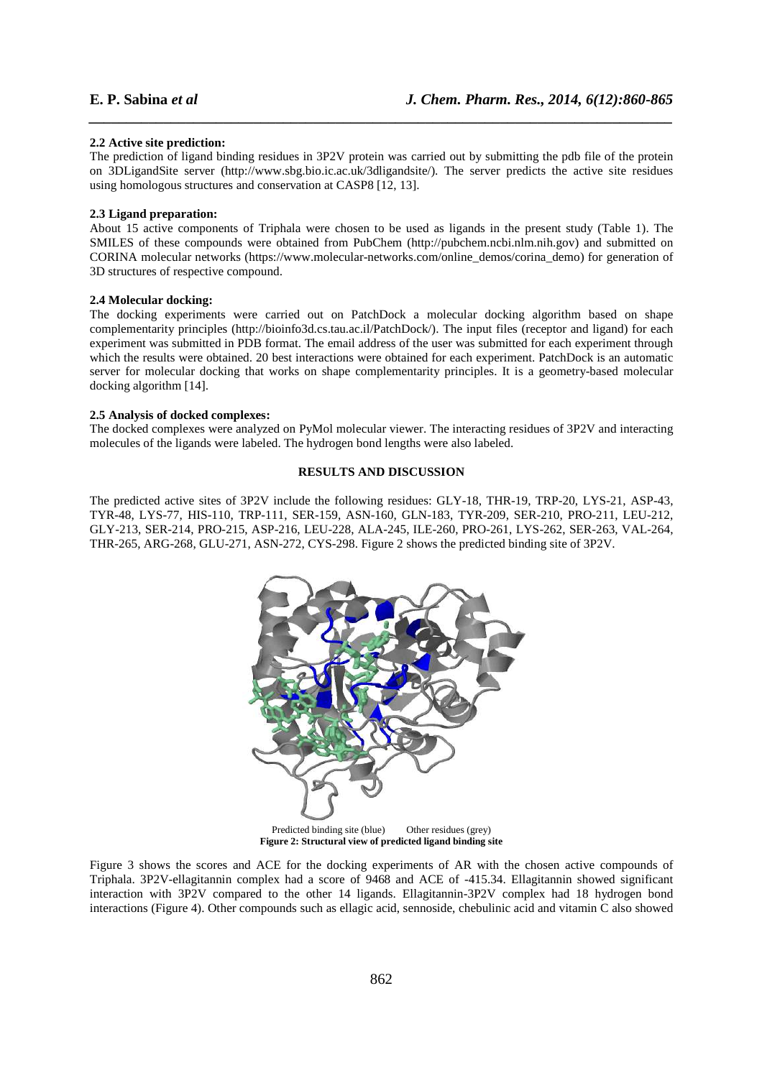#### **2.2 Active site prediction:**

The prediction of ligand binding residues in 3P2V protein was carried out by submitting the pdb file of the protein on 3DLigandSite server (http://www.sbg.bio.ic.ac.uk/3dligandsite/). The server predicts the active site residues using homologous structures and conservation at CASP8 [12, 13].

*\_\_\_\_\_\_\_\_\_\_\_\_\_\_\_\_\_\_\_\_\_\_\_\_\_\_\_\_\_\_\_\_\_\_\_\_\_\_\_\_\_\_\_\_\_\_\_\_\_\_\_\_\_\_\_\_\_\_\_\_\_\_\_\_\_\_\_\_\_\_\_\_\_\_\_\_\_\_*

### **2.3 Ligand preparation:**

About 15 active components of Triphala were chosen to be used as ligands in the present study (Table 1). The SMILES of these compounds were obtained from PubChem (http://pubchem.ncbi.nlm.nih.gov) and submitted on CORINA molecular networks (https://www.molecular-networks.com/online\_demos/corina\_demo) for generation of 3D structures of respective compound.

## **2.4 Molecular docking:**

The docking experiments were carried out on PatchDock a molecular docking algorithm based on shape complementarity principles (http://bioinfo3d.cs.tau.ac.il/PatchDock/). The input files (receptor and ligand) for each experiment was submitted in PDB format. The email address of the user was submitted for each experiment through which the results were obtained. 20 best interactions were obtained for each experiment. PatchDock is an automatic server for molecular docking that works on shape complementarity principles. It is a geometry-based molecular docking algorithm [14].

# **2.5 Analysis of docked complexes:**

The docked complexes were analyzed on PyMol molecular viewer. The interacting residues of 3P2V and interacting molecules of the ligands were labeled. The hydrogen bond lengths were also labeled.

## **RESULTS AND DISCUSSION**

The predicted active sites of 3P2V include the following residues: GLY-18, THR-19, TRP-20, LYS-21, ASP-43, TYR-48, LYS-77, HIS-110, TRP-111, SER-159, ASN-160, GLN-183, TYR-209, SER-210, PRO-211, LEU-212, GLY-213, SER-214, PRO-215, ASP-216, LEU-228, ALA-245, ILE-260, PRO-261, LYS-262, SER-263, VAL-264, THR-265, ARG-268, GLU-271, ASN-272, CYS-298. Figure 2 shows the predicted binding site of 3P2V.



**Figure 2: Structural view of predicted ligand binding site** 

Figure 3 shows the scores and ACE for the docking experiments of AR with the chosen active compounds of Triphala. 3P2V-ellagitannin complex had a score of 9468 and ACE of -415.34. Ellagitannin showed significant interaction with 3P2V compared to the other 14 ligands. Ellagitannin-3P2V complex had 18 hydrogen bond interactions (Figure 4). Other compounds such as ellagic acid, sennoside, chebulinic acid and vitamin C also showed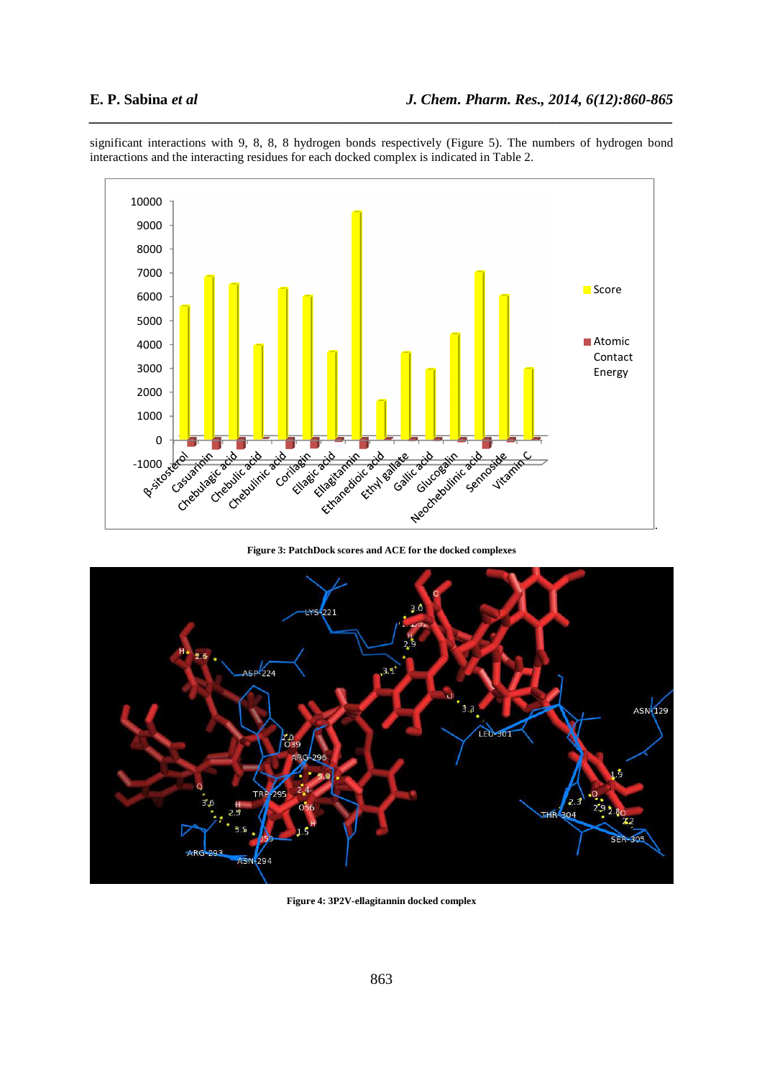

significant interactions with 9, 8, 8, 8 hydrogen bonds respectively (Figure 5). The numbers of hydrogen bond interactions and the interacting residues for each docked complex is indicated in Table 2.

*\_\_\_\_\_\_\_\_\_\_\_\_\_\_\_\_\_\_\_\_\_\_\_\_\_\_\_\_\_\_\_\_\_\_\_\_\_\_\_\_\_\_\_\_\_\_\_\_\_\_\_\_\_\_\_\_\_\_\_\_\_\_\_\_\_\_\_\_\_\_\_\_\_\_\_\_\_\_*

**Figure 3: PatchDock scores and ACE for the docked complexes** 



**Figure 4: 3P2V-ellagitannin docked complex**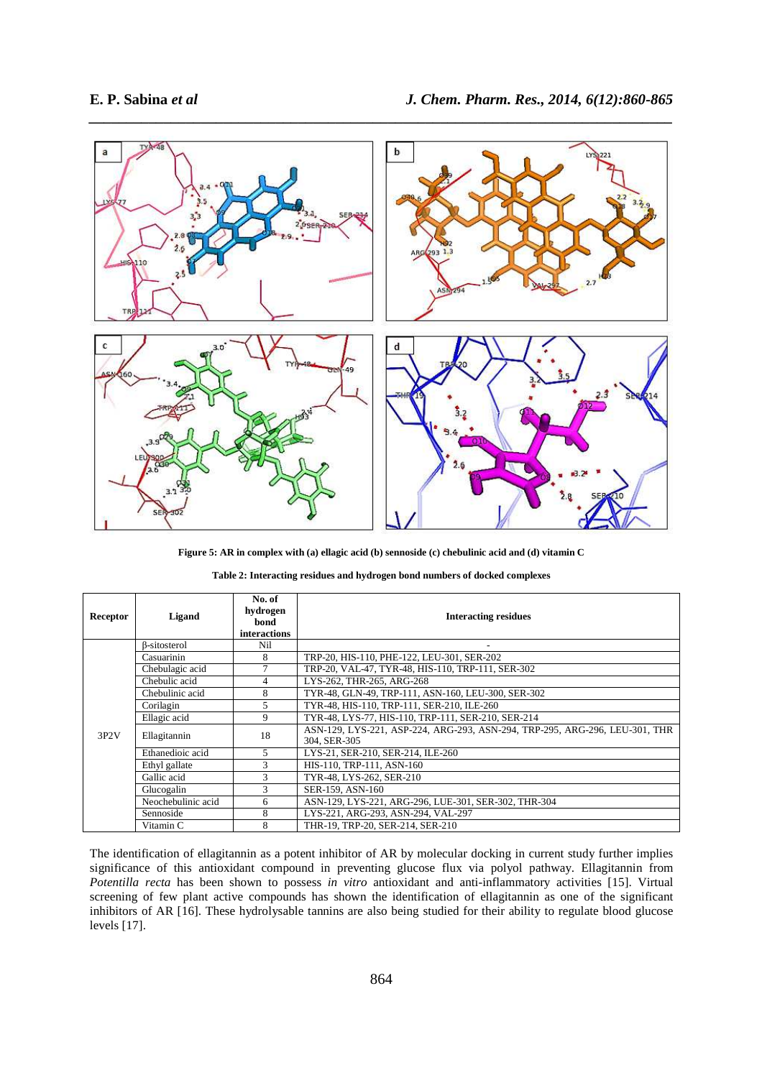

**Figure 5: AR in complex with (a) ellagic acid (b) sennoside (c) chebulinic acid and (d) vitamin C** 

| <b>Receptor</b> | Ligand             | No. of<br>hydrogen<br>bond<br><i>interactions</i> | <b>Interacting residues</b>                                                                 |
|-----------------|--------------------|---------------------------------------------------|---------------------------------------------------------------------------------------------|
| 3P2V            | β-sitosterol       | Nil                                               |                                                                                             |
|                 | Casuarinin         | 8                                                 | TRP-20, HIS-110, PHE-122, LEU-301, SER-202                                                  |
|                 | Chebulagic acid    |                                                   | TRP-20, VAL-47, TYR-48, HIS-110, TRP-111, SER-302                                           |
|                 | Chebulic acid      | 4                                                 | LYS-262, THR-265, ARG-268                                                                   |
|                 | Chebulinic acid    | 8                                                 | TYR-48, GLN-49, TRP-111, ASN-160, LEU-300, SER-302                                          |
|                 | Corilagin          | 5                                                 | TYR-48, HIS-110, TRP-111, SER-210, ILE-260                                                  |
|                 | Ellagic acid       | 9                                                 | TYR-48, LYS-77, HIS-110, TRP-111, SER-210, SER-214                                          |
|                 | Ellagitannin       | 18                                                | ASN-129, LYS-221, ASP-224, ARG-293, ASN-294, TRP-295, ARG-296, LEU-301, THR<br>304. SER-305 |
|                 | Ethanedioic acid   | 5                                                 | LYS-21, SER-210, SER-214, ILE-260                                                           |
|                 | Ethyl gallate      | 3                                                 | HIS-110, TRP-111, ASN-160                                                                   |
|                 | Gallic acid        | 3                                                 | TYR-48, LYS-262, SER-210                                                                    |
|                 | Glucogalin         | 3                                                 | SER-159, ASN-160                                                                            |
|                 | Neochebulinic acid | 6                                                 | ASN-129, LYS-221, ARG-296, LUE-301, SER-302, THR-304                                        |
|                 | Sennoside          | 8                                                 | LYS-221, ARG-293, ASN-294, VAL-297                                                          |
|                 | Vitamin C          | 8                                                 | THR-19, TRP-20, SER-214, SER-210                                                            |

**Table 2: Interacting residues and hydrogen bond numbers of docked complexes** 

The identification of ellagitannin as a potent inhibitor of AR by molecular docking in current study further implies significance of this antioxidant compound in preventing glucose flux via polyol pathway. Ellagitannin from *Potentilla recta* has been shown to possess *in vitro* antioxidant and anti-inflammatory activities [15]. Virtual screening of few plant active compounds has shown the identification of ellagitannin as one of the significant inhibitors of AR [16]. These hydrolysable tannins are also being studied for their ability to regulate blood glucose levels [17].